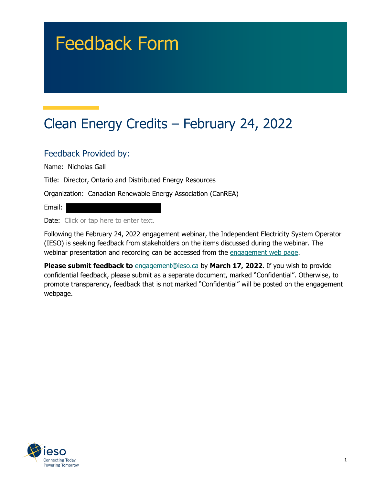# Feedback Form

# Clean Energy Credits – February 24, 2022

## Feedback Provided by:

Name: Nicholas Gall

Title: Director, Ontario and Distributed Energy Resources

Organization: Canadian Renewable Energy Association (CanREA)

Email:

Date: Click or tap here to enter text.

Following the February 24, 2022 engagement webinar, the Independent Electricity System Operator (IESO) is seeking feedback from stakeholders on the items discussed during the webinar. The webinar presentation and recording can be accessed from the engagement web page.

**Please submit feedback to** engagement@ieso.ca by March 17, 2022. If you wish to provide confidential feedback, please submit as a separate document, marked "Confidential". Otherwise, to promote transparency, feedback that is not marked "Confidential" will be posted on the engagement webpage.

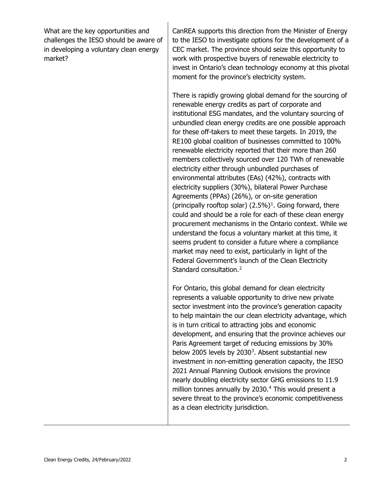<span id="page-1-0"></span>What are the key opportunities and challenges the IESO should be aware of in developing a voluntary clean energy market?

CanREA supports this direction from the Minister of Energy to the IESO to investigate options for the development of a CEC market. The province should seize this opportunity to work with prospective buyers of renewable electricity to invest in Ontario's clean technology economy at this pivotal moment for the province's electricity system.

There is rapidly growing global demand for the sourcing of renewable energy credits as part of corporate and institutional ESG mandates, and the voluntary sourcing of unbundled clean energy credits are one possible approach for these off-takers to meet these targets. In 2019, the RE100 global coalition of businesses committed to 100% renewable electricity reported that their more than 260 members collectively sourced over 120 TWh of renewable electricity either through unbundled purchases of environmental attributes (EAs) (42%), contracts with electricity suppliers (30%), bilateral Power Purchase Agreements (PPAs) (26%), or on-site generation (principally rooftop solar)  $(2.5%)<sup>1</sup>$  $(2.5%)<sup>1</sup>$  $(2.5%)<sup>1</sup>$ . Going forward, there could and should be a role for each of these clean energy procurement mechanisms in the Ontario context. While we understand the focus a voluntary market at this time, it seems prudent to consider a future where a compliance market may need to exist, particularly in light of the Federal Government's launch of the Clean Electricity Standard consultation. [2](#page-1-0)

For Ontario, this global demand for clean electricity represents a valuable opportunity to drive new private sector investment into the province's generation capacity to help maintain the our clean electricity advantage, which is in turn critical to attracting jobs and economic development, and ensuring that the province achieves our Paris Agreement target of reducing emissions by 30% below 2005 levels by 20[3](#page-1-0)0<sup>3</sup>. Absent substantial new investment in non-emitting generation capacity, the IESO 2021 Annual Planning Outlook envisions the province nearly doubling electricity sector GHG emissions to 11.9 million tonnes annually by 2030.<sup>[4](#page-1-0)</sup> This would present a severe threat to the province's economic competitiveness as a clean electricity jurisdiction.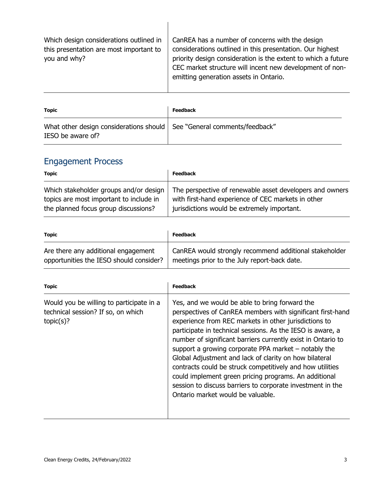| Which design considerations outlined in<br>this presentation are most important to<br>you and why? | CanREA has a number of concerns with the design<br>considerations outlined in this presentation. Our highest<br>priority design consideration is the extent to which a future<br>CEC market structure will incent new development of non-<br>emitting generation assets in Ontario. |
|----------------------------------------------------------------------------------------------------|-------------------------------------------------------------------------------------------------------------------------------------------------------------------------------------------------------------------------------------------------------------------------------------|
|----------------------------------------------------------------------------------------------------|-------------------------------------------------------------------------------------------------------------------------------------------------------------------------------------------------------------------------------------------------------------------------------------|

| <b>Topic</b>                                                                                   | <b>Feedback</b> |
|------------------------------------------------------------------------------------------------|-----------------|
| What other design considerations should   See "General comments/feedback"<br>IESO be aware of? |                 |

# Engagement Process

| <b>Topic</b>                            | <b>Feedback</b>                                          |
|-----------------------------------------|----------------------------------------------------------|
| Which stakeholder groups and/or design  | The perspective of renewable asset developers and owners |
| topics are most important to include in | with first-hand experience of CEC markets in other       |
| the planned focus group discussions?    | jurisdictions would be extremely important.              |

| <b>Topic</b>                            | <b>Feedback</b>                                        |
|-----------------------------------------|--------------------------------------------------------|
| Are there any additional engagement     | CanREA would strongly recommend additional stakeholder |
| opportunities the IESO should consider? | meetings prior to the July report-back date.           |

| Yes, and we would be able to bring forward the<br>perspectives of CanREA members with significant first-hand                                                                                                                                                                                                                                                                                                                                                                                                                     |
|----------------------------------------------------------------------------------------------------------------------------------------------------------------------------------------------------------------------------------------------------------------------------------------------------------------------------------------------------------------------------------------------------------------------------------------------------------------------------------------------------------------------------------|
| experience from REC markets in other jurisdictions to<br>participate in technical sessions. As the IESO is aware, a<br>number of significant barriers currently exist in Ontario to<br>support a growing corporate PPA market $-$ notably the<br>Global Adjustment and lack of clarity on how bilateral<br>contracts could be struck competitively and how utilities<br>could implement green pricing programs. An additional<br>session to discuss barriers to corporate investment in the<br>Ontario market would be valuable. |
|                                                                                                                                                                                                                                                                                                                                                                                                                                                                                                                                  |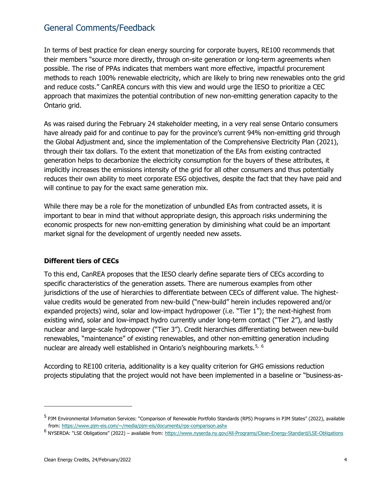### General Comments/Feedback

In terms of best practice for clean energy sourcing for corporate buyers, RE100 recommends that their members "source more directly, through on-site generation or long-term agreements when possible. The rise of PPAs indicates that members want more effective, impactful procurement methods to reach 100% renewable electricity, which are likely to bring new renewables onto the grid and reduce costs." CanREA concurs with this view and would urge the IESO to prioritize a CEC approach that maximizes the potential contribution of new non-emitting generation capacity to the Ontario grid.

As was raised during the February 24 stakeholder meeting, in a very real sense Ontario consumers have already paid for and continue to pay for the province's current 94% non-emitting grid through the Global Adjustment and, since the implementation of the Comprehensive Electricity Plan (2021), through their tax dollars. To the extent that monetization of the EAs from existing contracted generation helps to decarbonize the electricity consumption for the buyers of these attributes, it implicitly increases the emissions intensity of the grid for all other consumers and thus potentially reduces their own ability to meet corporate ESG objectives, despite the fact that they have paid and will continue to pay for the exact same generation mix.

While there may be a role for the monetization of unbundled EAs from contracted assets, it is important to bear in mind that without appropriate design, this approach risks undermining the economic prospects for new non-emitting generation by diminishing what could be an important market signal for the development of urgently needed new assets.

#### **Different tiers of CECs**

To this end, CanREA proposes that the IESO clearly define separate tiers of CECs according to specific characteristics of the generation assets. There are numerous examples from other jurisdictions of the use of hierarchies to differentiate between CECs of different value. The highestvalue credits would be generated from new-build ("new-build" herein includes repowered and/or expanded projects) wind, solar and low-impact hydropower (i.e. "Tier 1"); the next-highest from existing wind, solar and low-impact hydro currently under long-term contact ("Tier 2"), and lastly nuclear and large-scale hydropower ("Tier 3"). Credit hierarchies differentiating between new-build renewables, "maintenance" of existing renewables, and other non-emitting generation including nuclear are already well established in Ontario's neighbouring markets.<sup>[5,](#page-3-0) [6](#page-3-1)</sup>

According to RE100 criteria, additionality is a key quality criterion for GHG emissions reduction projects stipulating that the project would not have been implemented in a baseline or "business-as-

ł

<span id="page-3-0"></span><sup>5</sup> PJM Environmental Information Services: "Comparison of Renewable Portfolio Standards (RPS) Programs in PJM States" (2022), available from: [https://www.pjm-eis.com/~/media/pjm-eis/documents/rps-comparison.ashx](https://www.pjm-eis.com/%7E/media/pjm-eis/documents/rps-comparison.ashx)

<span id="page-3-1"></span><sup>&</sup>lt;sup>6</sup> NYSERDA: "LSE Obligations" (2022) – available from:<https://www.nyserda.ny.gov/All-Programs/Clean-Energy-Standard/LSE-Obligations>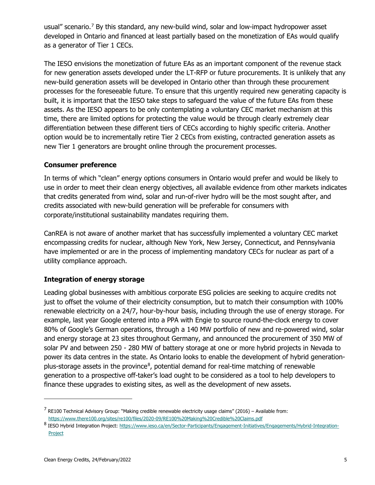usual" scenario.<sup>[7](#page-4-0)</sup> By this standard, any new-build wind, solar and low-impact hydropower asset developed in Ontario and financed at least partially based on the monetization of EAs would qualify as a generator of Tier 1 CECs.

The IESO envisions the monetization of future EAs as an important component of the revenue stack for new generation assets developed under the LT-RFP or future procurements. It is unlikely that any new-build generation assets will be developed in Ontario other than through these procurement processes for the foreseeable future. To ensure that this urgently required new generating capacity is built, it is important that the IESO take steps to safeguard the value of the future EAs from these assets. As the IESO appears to be only contemplating a voluntary CEC market mechanism at this time, there are limited options for protecting the value would be through clearly extremely clear differentiation between these different tiers of CECs according to highly specific criteria. Another option would be to incrementally retire Tier 2 CECs from existing, contracted generation assets as new Tier 1 generators are brought online through the procurement processes.

#### **Consumer preference**

In terms of which "clean" energy options consumers in Ontario would prefer and would be likely to use in order to meet their clean energy objectives, all available evidence from other markets indicates that credits generated from wind, solar and run-of-river hydro will be the most sought after, and credits associated with new-build generation will be preferable for consumers with corporate/institutional sustainability mandates requiring them.

CanREA is not aware of another market that has successfully implemented a voluntary CEC market encompassing credits for nuclear, although New York, New Jersey, Connecticut, and Pennsylvania have implemented or are in the process of implementing mandatory CECs for nuclear as part of a utility compliance approach.

#### **Integration of energy storage**

Leading global businesses with ambitious corporate ESG policies are seeking to acquire credits not just to offset the volume of their electricity consumption, but to match their consumption with 100% renewable electricity on a 24/7, hour-by-hour basis, including through the use of energy storage. For example, last year Google entered into a PPA with Engie to source round-the-clock energy to cover 80% of Google's German operations, through a 140 MW portfolio of new and re-powered wind, solar and energy storage at 23 sites throughout Germany, and announced the procurement of 350 MW of solar PV and between 250 - 280 MW of battery storage at one or more hybrid projects in Nevada to power its data centres in the state. As Ontario looks to enable the development of hybrid generation-plus-storage assets in the province<sup>[8](#page-4-1)</sup>, potential demand for real-time matching of renewable generation to a prospective off-taker's load ought to be considered as a tool to help developers to finance these upgrades to existing sites, as well as the development of new assets.

ł

<span id="page-4-0"></span> $7$  RE100 Technical Advisory Group: "Making credible renewable electricity usage claims" (2016) – Available from: <https://www.there100.org/sites/re100/files/2020-09/RE100%20Making%20Credible%20Claims.pdf>

<span id="page-4-1"></span><sup>8</sup> IESO Hybrid Integration Project: [https://www.ieso.ca/en/Sector-Participants/Engagement-Initiatives/Engagements/Hybrid-Integration-](https://www.ieso.ca/en/Sector-Participants/Engagement-Initiatives/Engagements/Hybrid-Integration-Project)[Project](https://www.ieso.ca/en/Sector-Participants/Engagement-Initiatives/Engagements/Hybrid-Integration-Project)